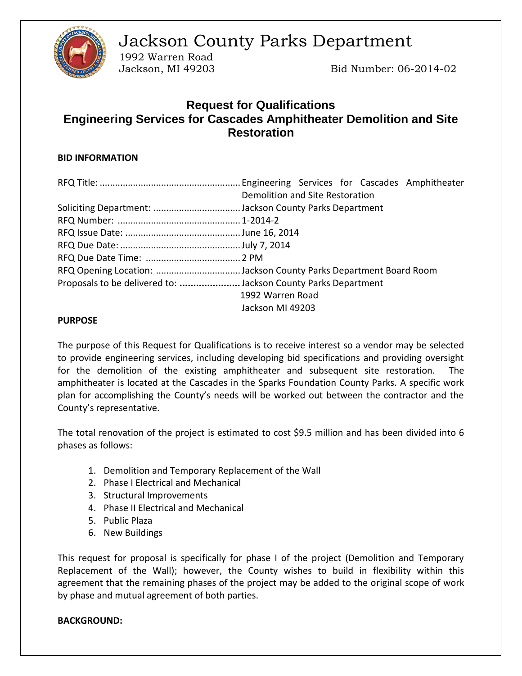

Jackson County Parks Department

1992 Warren Road

Jackson, MI 49203 Bid Number: 06-2014-02

# **Request for Qualifications Engineering Services for Cascades Amphitheater Demolition and Site Restoration**

# **BID INFORMATION**

| Demolition and Site Restoration                                  |  |  |  |
|------------------------------------------------------------------|--|--|--|
| Soliciting Department: Jackson County Parks Department           |  |  |  |
|                                                                  |  |  |  |
|                                                                  |  |  |  |
|                                                                  |  |  |  |
|                                                                  |  |  |  |
| RFQ Opening Location: Jackson County Parks Department Board Room |  |  |  |
| Proposals to be delivered to: Jackson County Parks Department    |  |  |  |
| 1992 Warren Road                                                 |  |  |  |
| Jackson MI 49203                                                 |  |  |  |

#### **PURPOSE**

The purpose of this Request for Qualifications is to receive interest so a vendor may be selected to provide engineering services, including developing bid specifications and providing oversight for the demolition of the existing amphitheater and subsequent site restoration. The amphitheater is located at the Cascades in the Sparks Foundation County Parks. A specific work plan for accomplishing the County's needs will be worked out between the contractor and the County's representative.

The total renovation of the project is estimated to cost \$9.5 million and has been divided into 6 phases as follows:

- 1. Demolition and Temporary Replacement of the Wall
- 2. Phase I Electrical and Mechanical
- 3. Structural Improvements
- 4. Phase II Electrical and Mechanical
- 5. Public Plaza
- 6. New Buildings

This request for proposal is specifically for phase I of the project (Demolition and Temporary Replacement of the Wall); however, the County wishes to build in flexibility within this agreement that the remaining phases of the project may be added to the original scope of work by phase and mutual agreement of both parties.

### **BACKGROUND:**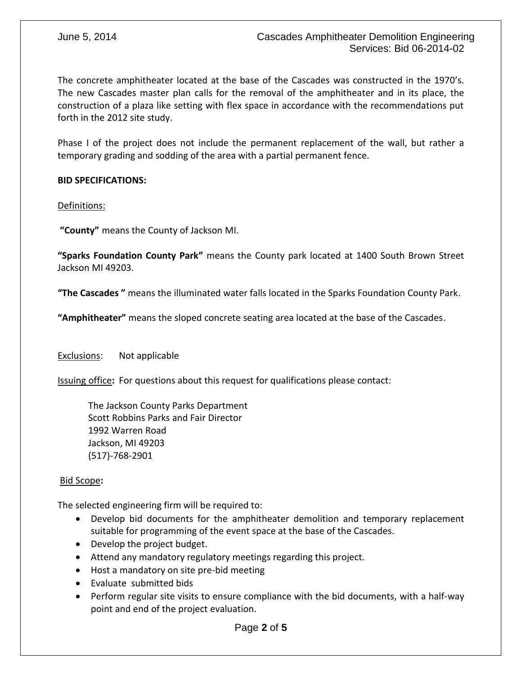The concrete amphitheater located at the base of the Cascades was constructed in the 1970's. The new Cascades master plan calls for the removal of the amphitheater and in its place, the construction of a plaza like setting with flex space in accordance with the recommendations put forth in the 2012 site study.

Phase I of the project does not include the permanent replacement of the wall, but rather a temporary grading and sodding of the area with a partial permanent fence.

# **BID SPECIFICATIONS:**

Definitions:

**"County"** means the County of Jackson MI.

**"Sparks Foundation County Park"** means the County park located at 1400 South Brown Street Jackson MI 49203.

**"The Cascades "** means the illuminated water falls located in the Sparks Foundation County Park.

**"Amphitheater"** means the sloped concrete seating area located at the base of the Cascades.

Exclusions: Not applicable

Issuing office**:** For questions about this request for qualifications please contact:

The Jackson County Parks Department Scott Robbins Parks and Fair Director 1992 Warren Road Jackson, MI 49203 (517)-768-2901

### Bid Scope**:**

The selected engineering firm will be required to:

- Develop bid documents for the amphitheater demolition and temporary replacement suitable for programming of the event space at the base of the Cascades.
- Develop the project budget.
- Attend any mandatory regulatory meetings regarding this project.
- Host a mandatory on site pre-bid meeting
- Evaluate submitted bids
- Perform regular site visits to ensure compliance with the bid documents, with a half-way point and end of the project evaluation.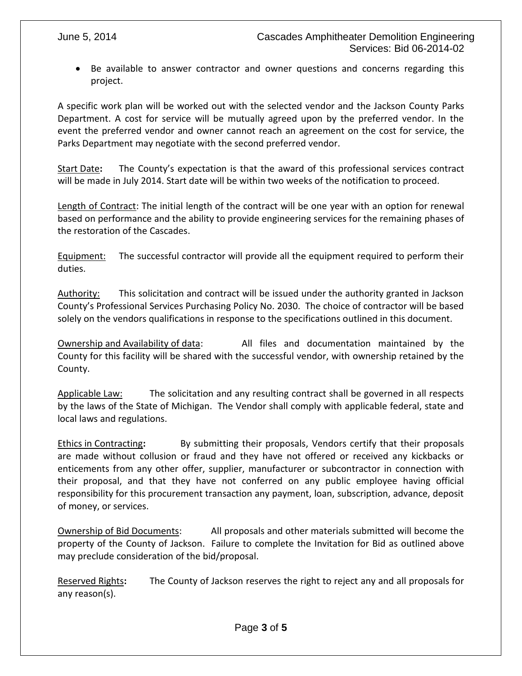Be available to answer contractor and owner questions and concerns regarding this project.

A specific work plan will be worked out with the selected vendor and the Jackson County Parks Department. A cost for service will be mutually agreed upon by the preferred vendor. In the event the preferred vendor and owner cannot reach an agreement on the cost for service, the Parks Department may negotiate with the second preferred vendor.

Start Date**:** The County's expectation is that the award of this professional services contract will be made in July 2014. Start date will be within two weeks of the notification to proceed.

Length of Contract: The initial length of the contract will be one year with an option for renewal based on performance and the ability to provide engineering services for the remaining phases of the restoration of the Cascades.

Equipment: The successful contractor will provide all the equipment required to perform their duties.

Authority: This solicitation and contract will be issued under the authority granted in Jackson County's Professional Services Purchasing Policy No. 2030. The choice of contractor will be based solely on the vendors qualifications in response to the specifications outlined in this document.

Ownership and Availability of data: All files and documentation maintained by the County for this facility will be shared with the successful vendor, with ownership retained by the County.

Applicable Law: The solicitation and any resulting contract shall be governed in all respects by the laws of the State of Michigan. The Vendor shall comply with applicable federal, state and local laws and regulations.

Ethics in Contracting**:** By submitting their proposals, Vendors certify that their proposals are made without collusion or fraud and they have not offered or received any kickbacks or enticements from any other offer, supplier, manufacturer or subcontractor in connection with their proposal, and that they have not conferred on any public employee having official responsibility for this procurement transaction any payment, loan, subscription, advance, deposit of money, or services.

Ownership of Bid Documents: All proposals and other materials submitted will become the property of the County of Jackson. Failure to complete the Invitation for Bid as outlined above may preclude consideration of the bid/proposal.

Reserved Rights**:** The County of Jackson reserves the right to reject any and all proposals for any reason(s).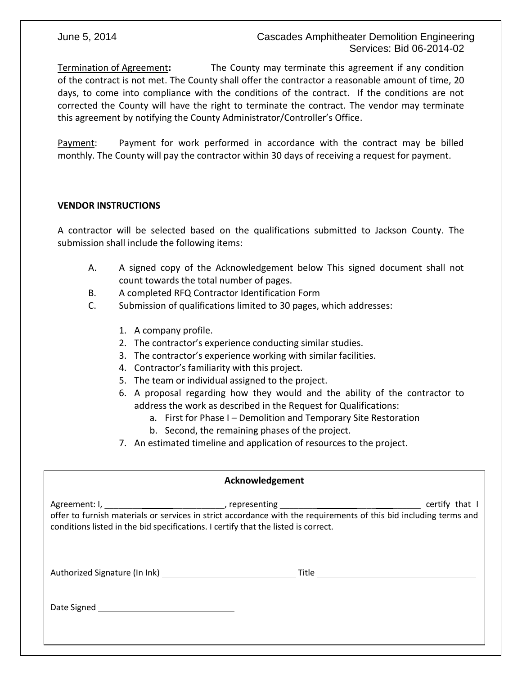# June 5, 2014 Cascades Amphitheater Demolition Engineering Services: Bid 06-2014-02

Termination of Agreement**:** The County may terminate this agreement if any condition of the contract is not met. The County shall offer the contractor a reasonable amount of time, 20 days, to come into compliance with the conditions of the contract. If the conditions are not corrected the County will have the right to terminate the contract. The vendor may terminate this agreement by notifying the County Administrator/Controller's Office.

Payment: Payment for work performed in accordance with the contract may be billed monthly. The County will pay the contractor within 30 days of receiving a request for payment.

### **VENDOR INSTRUCTIONS**

A contractor will be selected based on the qualifications submitted to Jackson County. The submission shall include the following items:

- A. A signed copy of the Acknowledgement below This signed document shall not count towards the total number of pages.
- B. A completed RFQ Contractor Identification Form
- C. Submission of qualifications limited to 30 pages, which addresses:
	- 1. A company profile.
	- 2. The contractor's experience conducting similar studies.
	- 3. The contractor's experience working with similar facilities.
	- 4. Contractor's familiarity with this project.
	- 5. The team or individual assigned to the project.
	- 6. A proposal regarding how they would and the ability of the contractor to address the work as described in the Request for Qualifications:
		- a. First for Phase I Demolition and Temporary Site Restoration
		- b. Second, the remaining phases of the project.
	- 7. An estimated timeline and application of resources to the project.

| Acknowledgement                                                                                                                                                                                                           |  |  |  |  |  |
|---------------------------------------------------------------------------------------------------------------------------------------------------------------------------------------------------------------------------|--|--|--|--|--|
| certify that I<br>offer to furnish materials or services in strict accordance with the requirements of this bid including terms and<br>conditions listed in the bid specifications. I certify that the listed is correct. |  |  |  |  |  |
|                                                                                                                                                                                                                           |  |  |  |  |  |
|                                                                                                                                                                                                                           |  |  |  |  |  |